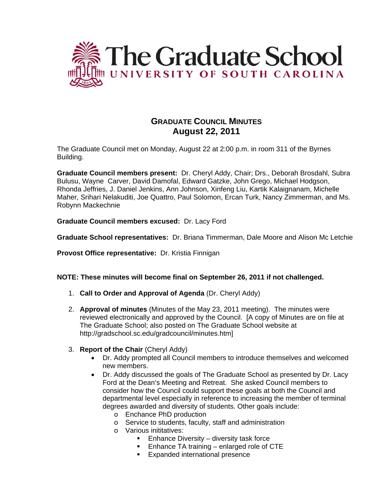

# **GRADUATE COUNCIL MINUTES August 22, 2011**

The Graduate Council met on Monday, August 22 at 2:00 p.m. in room 311 of the Byrnes Building.

**Graduate Council members present:** Dr. Cheryl Addy, Chair; Drs., Deborah Brosdahl, Subra Bulusu, Wayne Carver, David Damofal, Edward Gatzke, John Grego, Michael Hodgson, Rhonda Jeffries, J. Daniel Jenkins, Ann Johnson, Xinfeng Liu, Kartik Kalaignanam, Michelle Maher, Srihari Nelakuditi, Joe Quattro, Paul Solomon, Ercan Turk, Nancy Zimmerman, and Ms. Robynn Mackechnie

**Graduate Council members excused:** Dr. Lacy Ford

**Graduate School representatives:** Dr. Briana Timmerman, Dale Moore and Alison Mc Letchie

**Provost Office representative:** Dr. Kristia Finnigan

**NOTE: These minutes will become final on September 26, 2011 if not challenged.** 

- 1. **Call to Order and Approval of Agenda** (Dr. Cheryl Addy)
- 2. **Approval of minutes** (Minutes of the May 23, 2011 meeting). The minutes were reviewed electronically and approved by the Council. [A copy of Minutes are on file at The Graduate School; also posted on The Graduate School website at http://gradschool.sc.edu/gradcouncil/minutes.htm]
- 3. **Report of the Chair** (Cheryl Addy)
	- Dr. Addy prompted all Council members to introduce themselves and welcomed new members.
	- Dr. Addy discussed the goals of The Graduate School as presented by Dr. Lacy Ford at the Dean's Meeting and Retreat. She asked Council members to consider how the Council could support these goals at both the Council and departmental level especially in reference to increasing the member of terminal degrees awarded and diversity of students. Other goals include:
		- o Enchance PhD production
		- o Service to students, faculty, staff and administration
		- o Various inititatives:
			- **Enhance Diversity diversity task force**
			- **Enhance TA training enlarged role of CTE**
			- **Expanded international presence**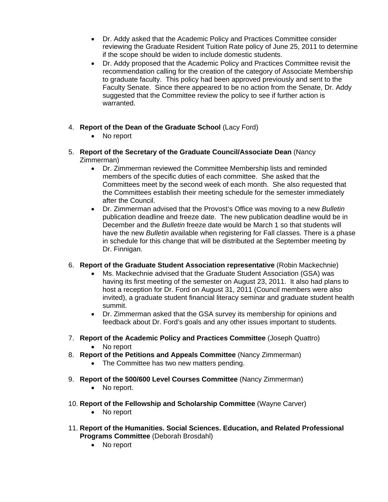- Dr. Addy asked that the Academic Policy and Practices Committee consider reviewing the Graduate Resident Tuition Rate policy of June 25, 2011 to determine if the scope should be widen to include domestic students.
- Dr. Addy proposed that the Academic Policy and Practices Committee revisit the recommendation calling for the creation of the category of Associate Membership to graduate faculty. This policy had been approved previously and sent to the Faculty Senate. Since there appeared to be no action from the Senate, Dr. Addy suggested that the Committee review the policy to see if further action is warranted.
- 4. **Report of the Dean of the Graduate School** (Lacy Ford)
	- No report
- 5. **Report of the Secretary of the Graduate Council/Associate Dean** (Nancy Zimmerman)
	- Dr. Zimmerman reviewed the Committee Membership lists and reminded members of the specific duties of each committee. She asked that the Committees meet by the second week of each month. She also requested that the Committees establish their meeting schedule for the semester immediately after the Council.
	- Dr. Zimmerman advised that the Provost's Office was moving to a new *Bulletin*  publication deadline and freeze date. The new publication deadline would be in December and the *Bulletin* freeze date would be March 1 so that students will have the new *Bulletin* available when registering for Fall classes. There is a phase in schedule for this change that will be distributed at the September meeting by Dr. Finnigan.
- 6. **Report of the Graduate Student Association representative** (Robin Mackechnie)
	- Ms. Mackechnie advised that the Graduate Student Association (GSA) was having its first meeting of the semester on August 23, 2011. It also had plans to host a reception for Dr. Ford on August 31, 2011 (Council members were also invited), a graduate student financial literacy seminar and graduate student health summit.
	- Dr. Zimmerman asked that the GSA survey its membership for opinions and feedback about Dr. Ford's goals and any other issues important to students.
- 7. **Report of the Academic Policy and Practices Committee** (Joseph Quattro)
	- No report
- 8. **Report of the Petitions and Appeals Committee** (Nancy Zimmerman)
	- The Committee has two new matters pending.
- 9. **Report of the 500/600 Level Courses Committee** (Nancy Zimmerman)
	- No report.
- 10. **Report of the Fellowship and Scholarship Committee** (Wayne Carver)
	- No report
- 11. **Report of the Humanities. Social Sciences. Education, and Related Professional Programs Committee** (Deborah Brosdahl)
	- No report